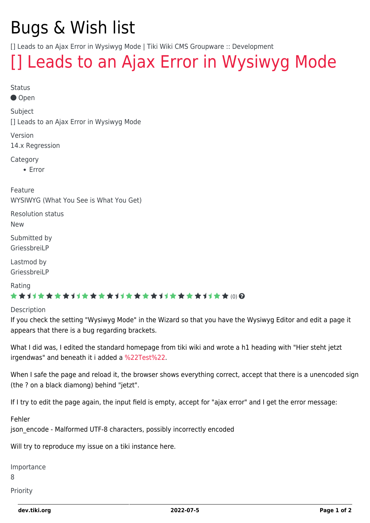# Bugs & Wish list

[] Leads to an Ajax Error in Wysiwyg Mode | Tiki Wiki CMS Groupware :: Development

## [\[\] Leads to an Ajax Error in Wysiwyg Mode](https://dev.tiki.org/item5780--Leads-to-an-Ajax-Error-in-Wysiwyg-Mode)

Status

Open

Subject

[] Leads to an Ajax Error in Wysiwyg Mode

Version 14.x Regression

Category

• Error

Feature WYSIWYG (What You See is What You Get)

Resolution status

New

Submitted by GriessbreiLP

Lastmod by GriessbreiLP

Rating

#### \*\*\*\*\*\*\*\*\*\*\*\*\*\*\*\*\*\*\*\*\*\*\*\*\*\*\*\*\*\*

Description

If you check the setting "Wysiwyg Mode" in the Wizard so that you have the Wysiwyg Editor and edit a page it appears that there is a bug regarding brackets.

What I did was, I edited the standard homepage from tiki wiki and wrote a h1 heading with "Hier steht jetzt irgendwas" and beneath it i added a [%22Test%22.](https://dev.tiki.org/%22Test%22)

When I safe the page and reload it, the browser shows everything correct, accept that there is a unencoded sign (the ? on a black diamong) behind "jetzt".

If I try to edit the page again, the input field is empty, accept for "ajax error" and I get the error message:

Fehler

json\_encode - Malformed UTF-8 characters, possibly incorrectly encoded

Will try to reproduce my issue on a tiki instance here.

Importance

8

Priority